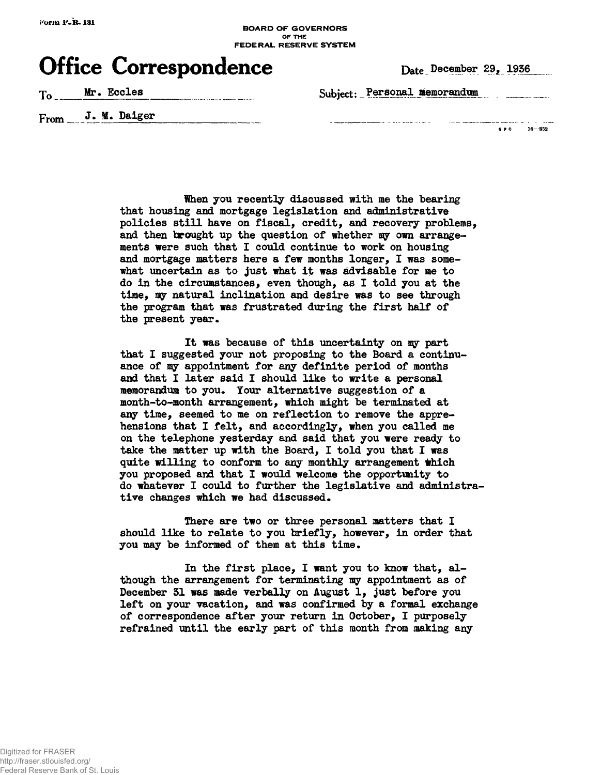## **BOARD OF GOVERNORS FEDERAL RESERVE SYSTEM**

## **Office Correspondence** Date December 29, 1936

T<sub>o</sub> **Mr.** Eccles **Example 20** Subject: Personal memorandum

. . . . . . . . . . . . .

From J. M. Daiger

والفاعيف **« r o 16—852**

**Ihen you recently discussed with me the bearing that housing and mortgage legislation and administrative policies still have on fiscal, credit, and recovery problems, and then brought up the question of whether my own arrangements were such that I could continue to work on housing and mortgage matters here a few months longer, I was somewhat uncertain as to just what it was advisable for me to do in the circumstances, even though, as I told you at the time, aiy natural inclination and desire was to see through the program that was frustrated during the first half of** the present year.

**It was because of this uncertainty on my part that I suggested your not proposing to the Board a continuance of my appointment for any definite period of months and that I later said I should like to write a personal** memorandum to you. Your alternative suggestion of a **month-to-month arrangement, which might be terminated at any time, seemed to me on reflection to remove the apprehensions that I felt, and accordingly, when you called me on the telephone yesterday and said that you were ready to take the matter up with the Board, I told you that I was** quite willing to conform to any monthly arrangement which **you proposed and that I would welcome the opportunity to do whatever I could to further the legislative and administra**tive changes which we had discussed.

**There are two or three personal matters that I should like to relate to you briefly, however, in order that** you may be informed of them at this time.

**In the first place, I want you to know that, although the arrangement for terminating my appointment as of December 31 was made verbally on August 1, just before you left on your vacation, and was confirmed by a formal exchange of correspondence after your return in October, I purposely refrained until the early part of this month from making any**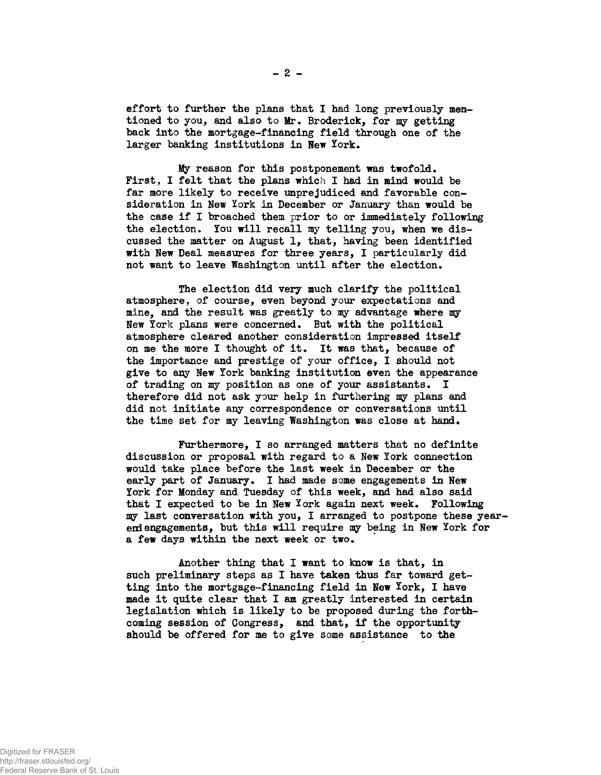effort to further the plans that I had long previously mentioned to you, and also to Mr. Broderick, for my getting back into the mortgage-financing field through one of the larger banking institutions in New York.

My reason for this postponement was twofold. First, I felt that the plans which I had in mind would be far more likely to receive unprejudiced and favorable consideration in New York in December or January than would be the case if I broached them prior to or immediately following the election. You will recall my telling you, when we discussed the matter on August 1, that, having been identified with New Deal measures for three years, I particularly did not want to leave Washington until after the election.

The election did very much clarify the political atmosphere, of course, even beyond your expectations and mine, and the result was greatly to my advantage where my New York plans were concerned. But with the political atmosphere cleared another consideration impressed itself on me the more I thought of it. It was that, because of the importance and prestige of your office, I should not give to any New York banking institution even the appearance of trading on my position as one of your assistants. I therefore did not ask your help in furthering my plans and did not initiate any correspondence or conversations until the time set for my leaving Washington was close at hand.

Furthermore, I so arranged matters that no definite discussion or proposal with regard to a New York connection would take place before the last week in December or the early part of January. I had made some engagements in New York for Monday and Tuesday of this week, and had also said that I expected to be in New York again next week. Following my last conversation with you, I arranged to postpone these yearend engagements, but this will require my being in New York for a few days within the next week or two.

Another thing that I want to know is that, in such preliminary steps as I have taken thus far toward getting into the mortgage-financing field in New York, I have made it quite clear that I am greatly interested in certain legislation which is likely to be proposed during the forthcoming session of Congress, and that, if the opportunity should be offered for me to give some assistance to the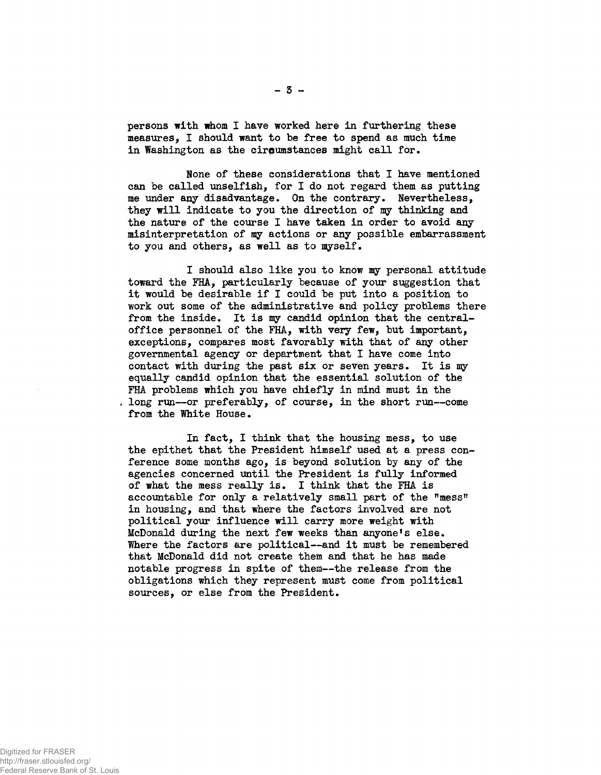persons with whom I have worked here in furthering these measures, I should want to be free to spend as much time in Washington as the cireumstances might call for.

None of these considerations that I have mentioned can be called unselfish, for I do not regard them as putting me under any disadvantage. On the contrary. Nevertheless, they will indicate to you the direction of my thinking and the nature of the course I have taken in order to avoid any misinterpretation of my actions or any possible embarrassment to you and others, as well as to myself.

I should also like you to know my personal attitude toward the FHA, particularly because of your suggestion that it would be desirable if I could be put into a position to work out some of the administrative and policy problems there from the inside. It is my candid opinion that the centraloffice personnel of the FHA, with very few, but important, exceptions, compares most favorably with that of any other governmental agency or department that I have come into contact with during the past six or seven years. It is my equally candid opinion that the essential solution of the FHA problems which you have chiefly in mind must in the long run—or preferably, of course, in the short run—come from the White House.

In fact, I think that the housing mess, to use the epithet that the President himself used at a press conference some months ago, is beyond solution by any of the agencies concerned until the President is fully informed of what the mess really is. I think that the FHA is accountable for only a relatively small part of the "mess' in housing, and that where the factors involved are not political your influence will carry more weight with McDonald during the next few weeks than anyone<sup>f</sup>s else. Where the factors are political--and it must be remembered that McDonald did not create them and that he has made notable progress in spite of them—the release from the obligations which they represent must come from political sources, or else from the President.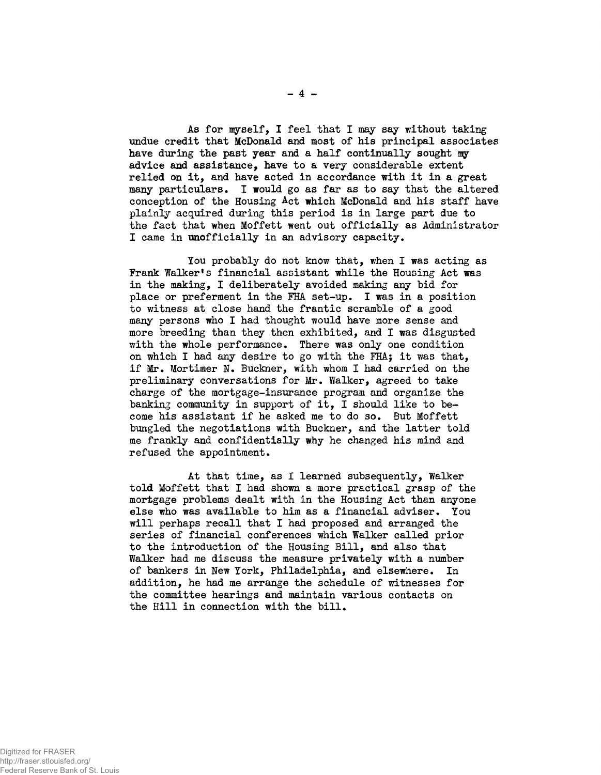As for myself, I feel that I may say without taking undue credit that McDonald and most of his principal associates have during the past year and a half continually sought my advice and assistance, have to a very considerable extent relied on it, and have acted in accordance with it in a great many particulars. I would go as far as to say that the altered conception of the Housing Act which McDonald and his staff have plainly acquired during this period is in large part due to the fact that when Moffett went out officially as Administrator I came in unofficially in an advisory capacity.

You probably do not know that, when I was acting as Frank Walker's financial assistant while the Housing Act was in the making, I deliberately avoided making any bid for place or preferment in the FHA set-up. I was in a position to witness at close hand the frantic scramble of a good many persons who I had thought would have more sense and more breeding than they then exhibited, and I was disgusted with the whole performance. There was only one condition on which I had any desire to go with the FHA} it was that, if Mr. Mortimer N. Buckner, with whom I had carried on the preliminary conversations for Mr. Walker, agreed to take charge of the mortgage-insurance program and organize the banking community in support of it, I should like to become his assistant if he asked me to do so. But Moffett bungled the negotiations with Buckner, and the latter told me frankly and confidentially why he changed his mind and refused the appointment.

At that time, as I learned subsequently, Walker told Moffett that I had shown a more practical grasp of the mortgage problems dealt with in the Housing Act than anyone else who was available to him as a financial adviser. You will perhaps recall that I had proposed and arranged the series of financial conferences which Walker called prior to the introduction of the Housing Bill, and also that Walker had me discuss the measure privately with a number of bankers in New York, Philadelphia, and elsewhere. In addition, he had me arrange the schedule of witnesses for the committee hearings and maintain various contacts on the Hill in connection with the bill.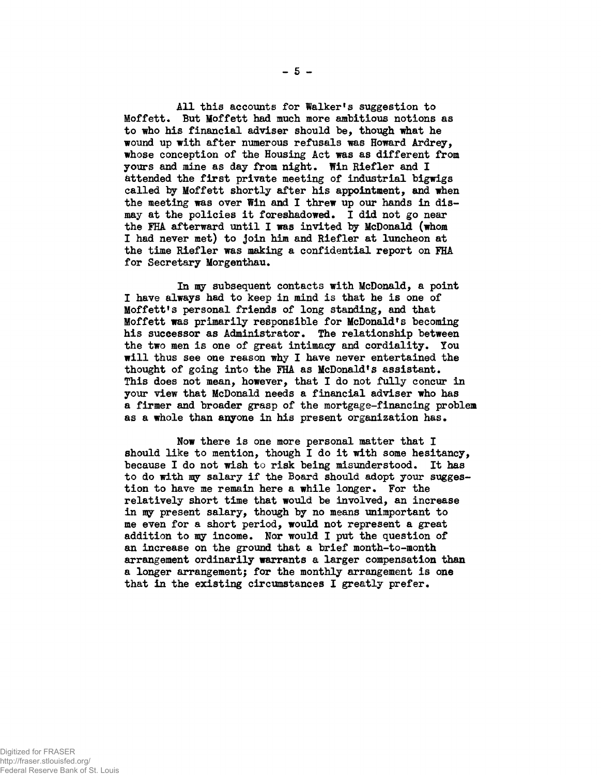All this accounts for Walker's suggestion to Moffett. But Moffett had much more ambitious notions as to who his financial adviser should be, though what he wound up with after numerous refusals was Howard Ardrey, whose conception of the Housing Act was as different from yours and mine as day from night. Win Riefler and I attended the first private meeting of industrial bigwigs called by Moffett shortly after his appointment, and when the meeting was over Win and I threw up our hands in dismay at the policies it foreshadowed. I did not go near the FHA afterward until I was invited by McDonald (whom I had never met) to join him and Riefler at luncheon at the time Riefler was making a confidential report on FHA for Secretary Morgenthau.

In my subsequent contacts with McDonald, a point I have always had to keep in mind is that he is one of Moffett<sup>f</sup>s personal friends of long standing, and that Moffett was primarily responsible for McDonald<sup>f</sup>s becoming his successor as Administrator. The relationship between the two men is one of great intimacy and cordiality. You will thus see one reason why I have never entertained the thought of going into the FHA as McDonald's assistant. This does not mean, however, that I do not fully concur in your view that McDonald needs a financial adviser who has a firmer and broader grasp of the mortgage-financing problem as a whole than anyone in his present organization has.

Now there is one more personal matter that I should like to mention, though I do it with some hesitancy, because I do not wish to risk being misunderstood. It has to do with my salary if the Board should adopt your suggestion to have me remain here a while longer. For the relatively short time that would be involved, an increase in my present salary, though by no means unimportant to me even for a short period, would not represent a great addition to my income. Nor would I put the question of an increase on the ground that a brief month-to-month arrangement ordinarily warrants a larger compensation than a longer arrangement; for the monthly arrangement is one that in the existing circumstances I greatly prefer.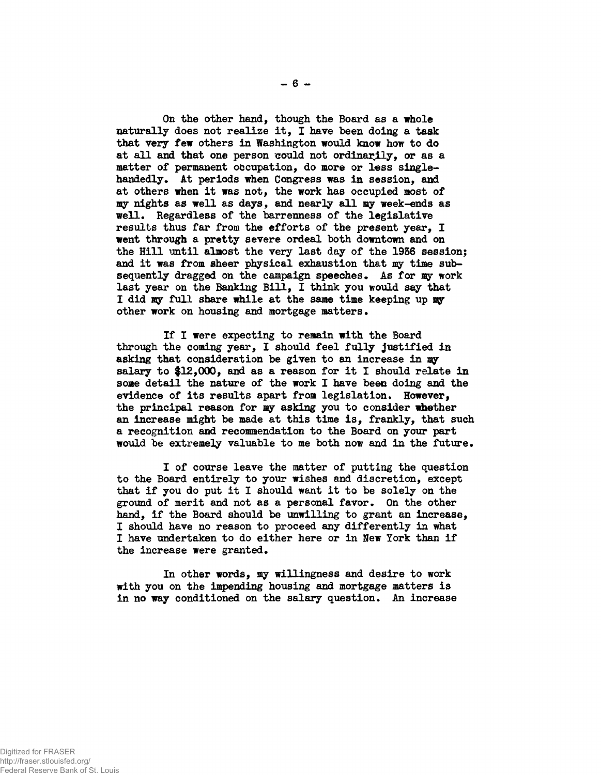**On the other hand, though the Board as a whole naturally does not realize it, I have been doing a task that very few others in Washington would know how to do at all and that one person could not ordinarily, or as a matter of permanent occupation, do more or less single**handedly. At periods when Congress was in session, and **at others when it was not, the work has occupied most of my nights as well as days, and nearly all my week-ends as** well. Regardless of the barrenness of the legislative **results thus far from the efforts of the present year, I went through a pretty severe ordeal both downtown and on the Hill until almost the very last day of the 1956 session; and it was from sheer physical exhaustion that my time sub**sequently dragged on the campaign speeches. As for my work **last year on the Banking Bill, I think you would say that I did my full share while at the same time keeping up ay** other work on housing and mortgage matters.

**If I were expecting to remain with the Board through the coming year, I should feel fully justified in asking that consideration be given to an increase in my salary to \$12,000, and as a reason for it I should relate in some detail the nature of the work I have been doing and the evidence of its results apart from legislation\* However, the principal reason for my asking you to consider whether an increase might be made at this time is, frankly, that such a recognition and recommendation to the Board on your part would be extremely valuable to me both now and in the future\***

**I of course leave the matter of putting the question to the Board entirely to your wishes and discretion, except that if you do put it I should want it to be solely on the ground of merit and not as a personal favor. On the other hand, if the Board should be unwilling to grant an increase, I should have no reason to proceed any differently in what I have undertaken to do either here or in New York than if** the increase were granted.

**In other words, my willingness and desire to work with you on the impending housing and mortgage matters is** in no way conditioned on the salary question. An increase